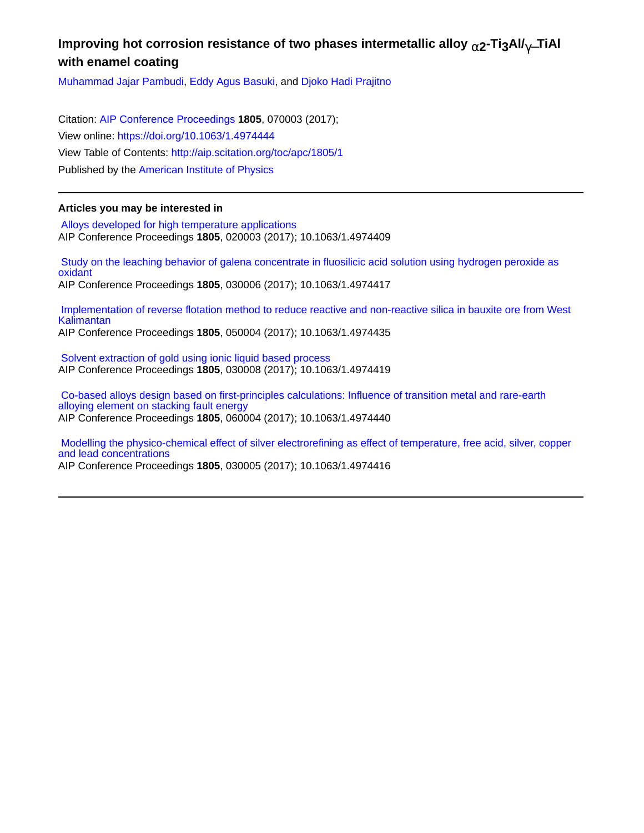# **Improving hot corrosion resistance of two phases intermetallic alloy** α**2-Ti3Al/**γ−**TiAl with enamel coating**

[Muhammad Jajar Pambudi,](http://aip.scitation.org/author/Pambudi%2C+Muhammad+Jajar) [Eddy Agus Basuki](http://aip.scitation.org/author/Basuki%2C+Eddy+Agus), and [Djoko Hadi Prajitno](http://aip.scitation.org/author/Prajitno%2C+Djoko+Hadi)

Citation: [AIP Conference Proceedings](/loi/apc) **1805**, 070003 (2017); View online: <https://doi.org/10.1063/1.4974444> View Table of Contents: <http://aip.scitation.org/toc/apc/1805/1> Published by the [American Institute of Physics](http://aip.scitation.org/publisher/)

#### **Articles you may be interested in**

 [Alloys developed for high temperature applications](http://aip.scitation.org/doi/abs/10.1063/1.4974409) AIP Conference Proceedings **1805**, 020003 (2017); 10.1063/1.4974409

 [Study on the leaching behavior of galena concentrate in fluosilicic acid solution using hydrogen peroxide as](http://aip.scitation.org/doi/abs/10.1063/1.4974417) [oxidant](http://aip.scitation.org/doi/abs/10.1063/1.4974417)

AIP Conference Proceedings **1805**, 030006 (2017); 10.1063/1.4974417

 [Implementation of reverse flotation method to reduce reactive and non-reactive silica in bauxite ore from West](http://aip.scitation.org/doi/abs/10.1063/1.4974435) [Kalimantan](http://aip.scitation.org/doi/abs/10.1063/1.4974435)

AIP Conference Proceedings **1805**, 050004 (2017); 10.1063/1.4974435

 [Solvent extraction of gold using ionic liquid based process](http://aip.scitation.org/doi/abs/10.1063/1.4974419) AIP Conference Proceedings **1805**, 030008 (2017); 10.1063/1.4974419

 [Co-based alloys design based on first-principles calculations: Influence of transition metal and rare-earth](http://aip.scitation.org/doi/abs/10.1063/1.4974440) [alloying element on stacking fault energy](http://aip.scitation.org/doi/abs/10.1063/1.4974440) AIP Conference Proceedings **1805**, 060004 (2017); 10.1063/1.4974440

 [Modelling the physico-chemical effect of silver electrorefining as effect of temperature, free acid, silver, copper](http://aip.scitation.org/doi/abs/10.1063/1.4974416) [and lead concentrations](http://aip.scitation.org/doi/abs/10.1063/1.4974416)

AIP Conference Proceedings **1805**, 030005 (2017); 10.1063/1.4974416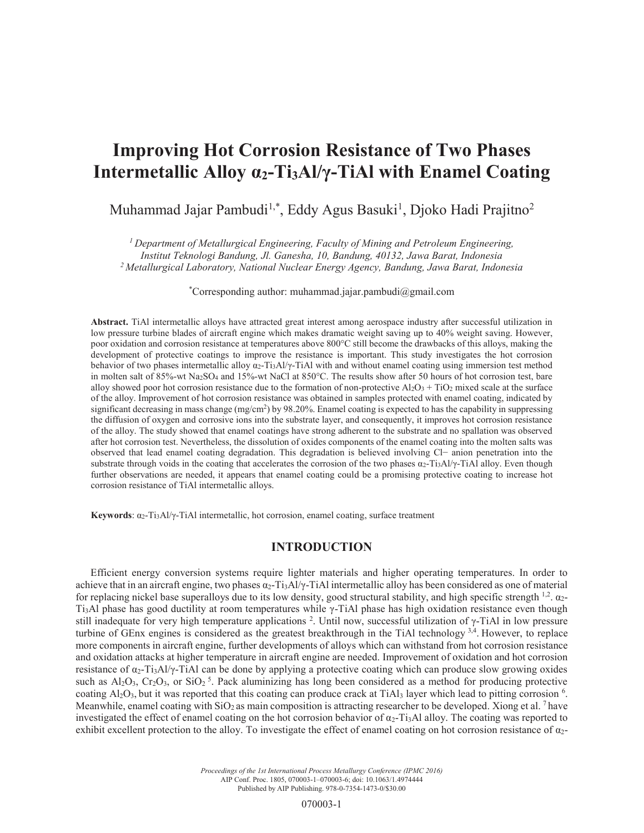# **Improving Hot Corrosion Resistance of Two Phases Intermetallic Alloy α2-Ti3Al/γ-TiAl with Enamel Coating**

Muhammad Jajar Pambudi<sup>1,\*</sup>, Eddy Agus Basuki<sup>1</sup>, Djoko Hadi Prajitno<sup>2</sup>

*1 Department of Metallurgical Engineering, Faculty of Mining and Petroleum Engineering, Institut Teknologi Bandung, Jl. Ganesha, 10, Bandung, 40132, Jawa Barat, Indonesia 2 Metallurgical Laboratory, National Nuclear Energy Agency, Bandung, Jawa Barat, Indonesia* 

\* Corresponding author: muhammad.jajar.pambudi@gmail.com

**Abstract.** TiAl intermetallic alloys have attracted great interest among aerospace industry after successful utilization in low pressure turbine blades of aircraft engine which makes dramatic weight saving up to 40% weight saving. However, poor oxidation and corrosion resistance at temperatures above 800°C still become the drawbacks of this alloys, making the development of protective coatings to improve the resistance is important. This study investigates the hot corrosion behavior of two phases intermetallic alloy  $\alpha_2$ -Ti3Al/ $\gamma$ -TiAl with and without enamel coating using immersion test method in molten salt of 85%-wt Na2SO4 and 15%-wt NaCl at 850°C. The results show after 50 hours of hot corrosion test, bare alloy showed poor hot corrosion resistance due to the formation of non-protective  $Al_2O_3 + TiO_2$  mixed scale at the surface of the alloy. Improvement of hot corrosion resistance was obtained in samples protected with enamel coating, indicated by significant decreasing in mass change (mg/cm<sup>2</sup>) by 98.20%. Enamel coating is expected to has the capability in suppressing the diffusion of oxygen and corrosive ions into the substrate layer, and consequently, it improves hot corrosion resistance of the alloy. The study showed that enamel coatings have strong adherent to the substrate and no spallation was observed after hot corrosion test. Nevertheless, the dissolution of oxides components of the enamel coating into the molten salts was observed that lead enamel coating degradation. This degradation is believed involving Cl− anion penetration into the substrate through voids in the coating that accelerates the corrosion of the two phases  $\alpha_2$ -Ti<sub>3</sub>Al/ $\gamma$ -TiAl alloy. Even though further observations are needed, it appears that enamel coating could be a promising protective coating to increase hot corrosion resistance of TiAl intermetallic alloys.

**Keywords**: α2-Ti3Al/γ-TiAl intermetallic, hot corrosion, enamel coating, surface treatment

#### **INTRODUCTION**

Efficient energy conversion systems require lighter materials and higher operating temperatures. In order to achieve that in an aircraft engine, two phases  $\alpha_2$ -Ti<sub>3</sub>Al/ $\gamma$ -TiAl intermetallic alloy has been considered as one of material for replacing nickel base superalloys due to its low density, good structural stability, and high specific strength  $1,2$ .  $\alpha_2$ -Ti<sub>3</sub>Al phase has good ductility at room temperatures while  $\gamma$ -TiAl phase has high oxidation resistance even though still inadequate for very high temperature applications <sup>2</sup>. Until now, successful utilization of  $\gamma$ -TiAl in low pressure turbine of GEnx engines is considered as the greatest breakthrough in the TiAl technology <sup>3,4</sup>. However, to replace more components in aircraft engine, further developments of alloys which can withstand from hot corrosion resistance and oxidation attacks at higher temperature in aircraft engine are needed. Improvement of oxidation and hot corrosion resistance of  $\alpha_2$ -Ti<sub>3</sub>Al/γ-TiAl can be done by applying a protective coating which can produce slow growing oxides such as  $Al_2O_3$ ,  $Cr_2O_3$ , or  $SiO_2$ <sup>5</sup>. Pack aluminizing has long been considered as a method for producing protective coating  $Al_2O_3$ , but it was reported that this coating can produce crack at TiAl<sub>3</sub> layer which lead to pitting corrosion  $6$ . Meanwhile, enamel coating with  $SiO<sub>2</sub>$  as main composition is attracting researcher to be developed. Xiong et al. <sup>7</sup> have investigated the effect of enamel coating on the hot corrosion behavior of  $\alpha_2$ -T<sub>i3</sub>Al alloy. The coating was reported to exhibit excellent protection to the alloy. To investigate the effect of enamel coating on hot corrosion resistance of α2-

> *Proceedings of the 1st International Process Metallurgy Conference (IPMC 2016)* AIP Conf. Proc. 1805, 070003-1–070003-6; doi: 10.1063/1.4974444 Published by AIP Publishing. 978-0-7354-1473-0/\$30.00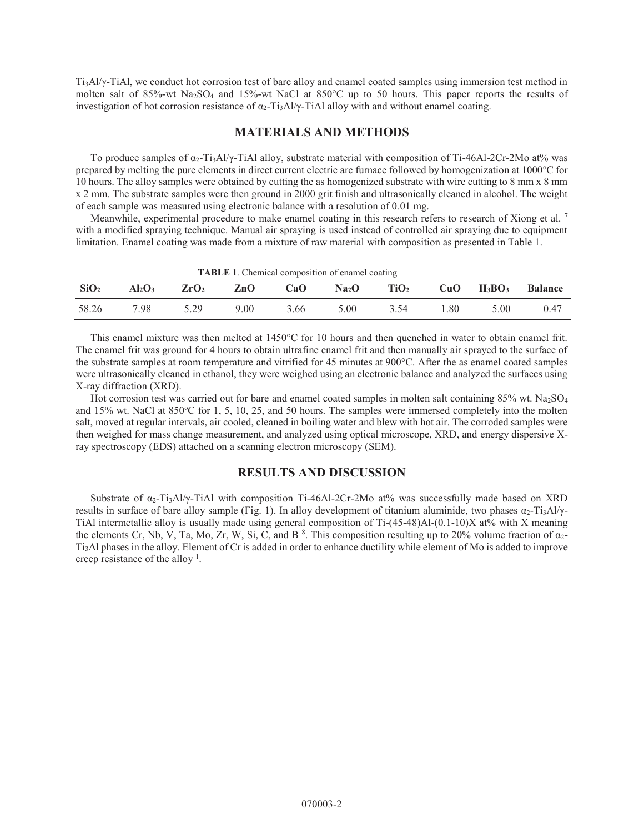Ti3Al/γ-TiAl, we conduct hot corrosion test of bare alloy and enamel coated samples using immersion test method in molten salt of 85%-wt Na2SO4 and 15%-wt NaCl at 850°C up to 50 hours. This paper reports the results of investigation of hot corrosion resistance of  $\alpha_2$ -Ti<sub>3</sub>Al/ $\gamma$ -TiAl alloy with and without enamel coating.

# **MATERIALS AND METHODS**

To produce samples of  $\alpha_2$ -Ti<sub>3</sub>Al/γ-TiAl alloy, substrate material with composition of Ti-46Al-2Cr-2Mo at% was prepared by melting the pure elements in direct current electric arc furnace followed by homogenization at 1000°C for 10 hours. The alloy samples were obtained by cutting the as homogenized substrate with wire cutting to 8 mm x 8 mm x 2 mm. The substrate samples were then ground in 2000 grit finish and ultrasonically cleaned in alcohol. The weight of each sample was measured using electronic balance with a resolution of 0.01 mg.

Meanwhile, experimental procedure to make enamel coating in this research refers to research of Xiong et al. <sup>7</sup> with a modified spraying technique. Manual air spraying is used instead of controlled air spraying due to equipment limitation. Enamel coating was made from a mixture of raw material with composition as presented in Table 1.

| <b>TABLE 1.</b> Chemical composition of enamel coating |           |                  |      |      |                   |                  |      |           |                |  |  |
|--------------------------------------------------------|-----------|------------------|------|------|-------------------|------------------|------|-----------|----------------|--|--|
| SiO <sub>2</sub>                                       | $Al_2O_3$ | ZrO <sub>2</sub> | ZnO  | CaO  | Na <sub>2</sub> O | TiO <sub>2</sub> | CuO  | $H_3BO_3$ | <b>Balance</b> |  |  |
| 58.26                                                  | 798       | 5.29             | 9.00 | 3.66 | 5.00              | 3.54             | L 80 | 5.00      | 0.47           |  |  |

This enamel mixture was then melted at 1450°C for 10 hours and then quenched in water to obtain enamel frit. The enamel frit was ground for 4 hours to obtain ultrafine enamel frit and then manually air sprayed to the surface of the substrate samples at room temperature and vitrified for 45 minutes at 900°C. After the as enamel coated samples were ultrasonically cleaned in ethanol, they were weighed using an electronic balance and analyzed the surfaces using X-ray diffraction (XRD).

Hot corrosion test was carried out for bare and enamel coated samples in molten salt containing 85% wt. Na<sub>2</sub>SO<sub>4</sub> and 15% wt. NaCl at 850°C for 1, 5, 10, 25, and 50 hours. The samples were immersed completely into the molten salt, moved at regular intervals, air cooled, cleaned in boiling water and blew with hot air. The corroded samples were then weighed for mass change measurement, and analyzed using optical microscope, XRD, and energy dispersive Xray spectroscopy (EDS) attached on a scanning electron microscopy (SEM).

## **RESULTS AND DISCUSSION**

Substrate of α2-Ti3Al/γ-TiAl with composition Ti-46Al-2Cr-2Mo at% was successfully made based on XRD results in surface of bare alloy sample (Fig. 1). In alloy development of titanium aluminide, two phases  $α_2$ -Ti<sub>3</sub>Al/γ-TiAl intermetallic alloy is usually made using general composition of Ti-(45-48)Al-(0.1-10)X at% with X meaning the elements Cr, Nb, V, Ta, Mo, Zr, W, Si, C, and B<sup>8</sup>. This composition resulting up to 20% volume fraction of  $\alpha_2$ -Ti3Al phases in the alloy. Element of Cr is added in order to enhance ductility while element of Mo is added to improve creep resistance of the alloy  $<sup>1</sup>$ .</sup>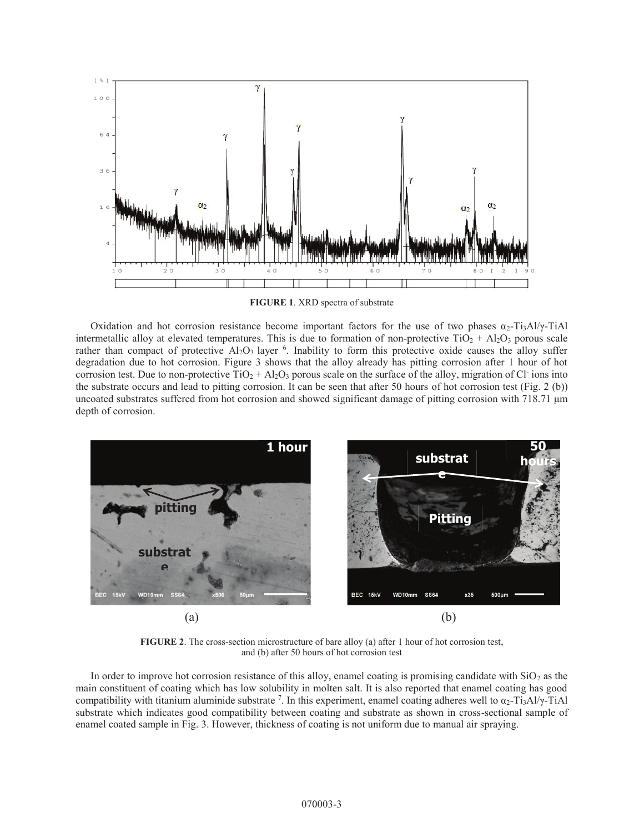

**FIGURE 1**. XRD spectra of substrate

Oxidation and hot corrosion resistance become important factors for the use of two phases  $\alpha_2$ -Ti<sub>3</sub>Al/ $\gamma$ -TiAl intermetallic alloy at elevated temperatures. This is due to formation of non-protective  $TiO<sub>2</sub> + Al<sub>2</sub>O<sub>3</sub>$  porous scale rather than compact of protective  $Al_2O_3$  layer  $6$ . Inability to form this protective oxide causes the alloy suffer degradation due to hot corrosion. Figure 3 shows that the alloy already has pitting corrosion after 1 hour of hot corrosion test. Due to non-protective  $TiO_2 + Al_2O_3$  porous scale on the surface of the alloy, migration of Cl ions into the substrate occurs and lead to pitting corrosion. It can be seen that after 50 hours of hot corrosion test (Fig. 2 (b)) uncoated substrates suffered from hot corrosion and showed significant damage of pitting corrosion with 718.71 μm depth of corrosion.



**FIGURE 2**. The cross-section microstructure of bare alloy (a) after 1 hour of hot corrosion test, and (b) after 50 hours of hot corrosion test

In order to improve hot corrosion resistance of this alloy, enamel coating is promising candidate with  $SiO<sub>2</sub>$  as the main constituent of coating which has low solubility in molten salt. It is also reported that enamel coating has good compatibility with titanium aluminide substrate <sup>7</sup>. In this experiment, enamel coating adheres well to  $\alpha_2$ -Ti<sub>3</sub>Al/ $\gamma$ -TiAl substrate which indicates good compatibility between coating and substrate as shown in cross-sectional sample of enamel coated sample in Fig. 3. However, thickness of coating is not uniform due to manual air spraying.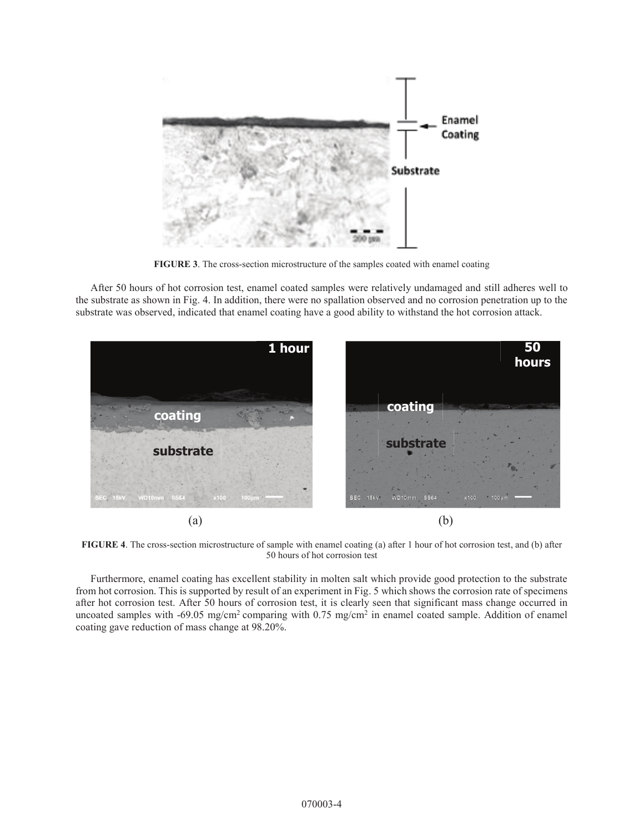

**FIGURE 3**. The cross-section microstructure of the samples coated with enamel coating

After 50 hours of hot corrosion test, enamel coated samples were relatively undamaged and still adheres well to the substrate as shown in Fig. 4. In addition, there were no spallation observed and no corrosion penetration up to the substrate was observed, indicated that enamel coating have a good ability to withstand the hot corrosion attack.



**FIGURE 4**. The cross-section microstructure of sample with enamel coating (a) after 1 hour of hot corrosion test, and (b) after 50 hours of hot corrosion test

Furthermore, enamel coating has excellent stability in molten salt which provide good protection to the substrate from hot corrosion. This is supported by result of an experiment in Fig. 5 which shows the corrosion rate of specimens after hot corrosion test. After 50 hours of corrosion test, it is clearly seen that significant mass change occurred in uncoated samples with -69.05 mg/cm<sup>2</sup> comparing with 0.75 mg/cm<sup>2</sup> in enamel coated sample. Addition of enamel coating gave reduction of mass change at 98.20%.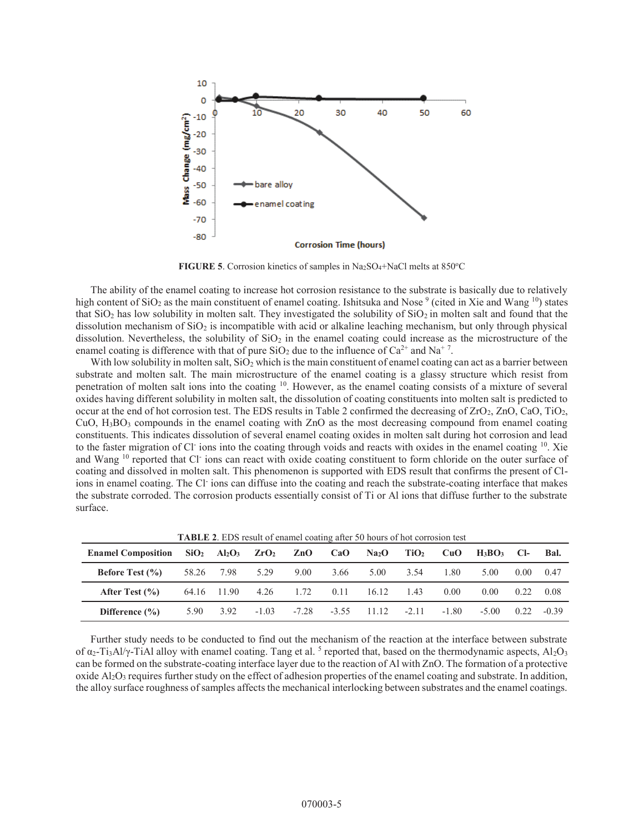

**FIGURE 5**. Corrosion kinetics of samples in Na<sub>2</sub>SO<sub>4</sub>+NaCl melts at 850°C

The ability of the enamel coating to increase hot corrosion resistance to the substrate is basically due to relatively high content of  $SiO<sub>2</sub>$  as the main constituent of enamel coating. Ishitsuka and Nose  $9$  (cited in Xie and Wang <sup>10</sup>) states that  $SiO<sub>2</sub>$  has low solubility in molten salt. They investigated the solubility of  $SiO<sub>2</sub>$  in molten salt and found that the dissolution mechanism of  $SiO<sub>2</sub>$  is incompatible with acid or alkaline leaching mechanism, but only through physical dissolution. Nevertheless, the solubility of  $SiO<sub>2</sub>$  in the enamel coating could increase as the microstructure of the enamel coating is difference with that of pure  $SiO<sub>2</sub>$  due to the influence of  $Ca<sup>2+</sup>$  and Na<sup>+7</sup>.

With low solubility in molten salt,  $SiO<sub>2</sub>$  which is the main constituent of enamel coating can act as a barrier between substrate and molten salt. The main microstructure of the enamel coating is a glassy structure which resist from penetration of molten salt ions into the coating 10. However, as the enamel coating consists of a mixture of several oxides having different solubility in molten salt, the dissolution of coating constituents into molten salt is predicted to occur at the end of hot corrosion test. The EDS results in Table 2 confirmed the decreasing of  $ZrO_2$ ,  $ZnO$ ,  $CaO$ ,  $TiO_2$ ,  $CuO$ ,  $H_3BO_3$  compounds in the enamel coating with ZnO as the most decreasing compound from enamel coating constituents. This indicates dissolution of several enamel coating oxides in molten salt during hot corrosion and lead to the faster migration of Cl<sup>-</sup> ions into the coating through voids and reacts with oxides in the enamel coating <sup>10</sup>. Xie and Wang<sup>10</sup> reported that Cl<sup>-</sup> ions can react with oxide coating constituent to form chloride on the outer surface of coating and dissolved in molten salt. This phenomenon is supported with EDS result that confirms the present of Clions in enamel coating. The Cl<sup>-</sup> ions can diffuse into the coating and reach the substrate-coating interface that makes the substrate corroded. The corrosion products essentially consist of Ti or Al ions that diffuse further to the substrate surface.

| Enamel Composition $SiO2$ Al <sub>2</sub> O <sub>3</sub> ZrO <sub>2</sub> |      |                 |      |      |      | <b>Tribers</b> , EDD result of change country after 50 hours of not corroston test<br>$ZnO$ CaO Na <sub>2</sub> O | TiO <sub>2</sub> | CuO     | $H_3BO_3$ Cl- |      | Bal.              |
|---------------------------------------------------------------------------|------|-----------------|------|------|------|-------------------------------------------------------------------------------------------------------------------|------------------|---------|---------------|------|-------------------|
| Before Test $(\% )$                                                       |      | 58.26 7.98 5.29 |      | 9.00 | 3.66 | 5.00                                                                                                              | 3.54             | 1.80    | 5.00          |      | $0.00 \quad 0.47$ |
| After Test $(\% )$                                                        |      | 64.16 11.90     | 4.26 | 1.72 | 0.11 | 16.12                                                                                                             | 1.43             | 0.00    | $0.00 -$      | 0.22 | 0.08              |
| Difference $(\% )$                                                        | 5.90 | 3.92            |      |      |      | $-1.03$ $-7.28$ $-3.55$ $11.12$                                                                                   | $-2.11$          | $-1.80$ | $-5.00$       | 0.22 | $-0.39$           |

**TABLE 2**. EDS result of enamel coating after 50 hours of hot corrosion test

Further study needs to be conducted to find out the mechanism of the reaction at the interface between substrate of  $\alpha_2$ -Ti<sub>3</sub>Al/ $\gamma$ -TiAl alloy with enamel coating. Tang et al. <sup>5</sup> reported that, based on the thermodynamic aspects, Al<sub>2</sub>O<sub>3</sub> can be formed on the substrate-coating interface layer due to the reaction of Al with ZnO. The formation of a protective oxide  $Al_2O_3$  requires further study on the effect of adhesion properties of the enamel coating and substrate. In addition, the alloy surface roughness of samples affects the mechanical interlocking between substrates and the enamel coatings.